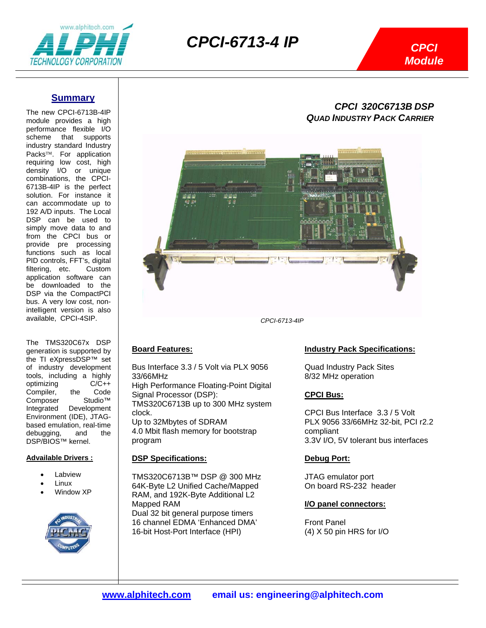

## *CPCI-6713-4 IP*

### **Summary**

The new CPCI-6713B-4IP module provides a high performance flexible I/O scheme that supports industry standard Industry Packs™. For application requiring low cost, high density I/O or unique combinations, the CPCI-6713B-4IP is the perfect solution. For instance it can accommodate up to 192 A/D inputs. The Local DSP can be used to simply move data to and from the CPCI bus or provide pre processing functions such as local PID controls, FFT's, digital filtering, etc. Custom application software can be downloaded to the DSP via the CompactPCI bus. A very low cost, nonintelligent version is also available, CPCI-4SIP.

 The TMS320C67x DSP generation is supported by the TI eXpressDSP™ set of industry development tools, including a highly optimizing C/C++<br>Compiler, the Code Compiler, the Composer Studio™<br>Integrated Development Development Environment (IDE), JTAGbased emulation, real-time debugging, and the DSP/BIOS™ kernel.

#### **Advailable Drivers :**

- **Labview**
- **Linux**
- Window XP



### *CPCI 320C6713B DSP QUAD INDUSTRY PACK CARRIER*



## **Board Features:**

Bus Interface 3.3 / 5 Volt via PLX 9056 33/66MHz High Performance Floating-Point Digital Signal Processor (DSP): TMS320C6713B up to 300 MHz system clock. Up to 32Mbytes of SDRAM 4.0 Mbit flash memory for bootstrap program

#### **DSP Specifications:**

TMS320C6713B™ DSP @ 300 MHz 64K-Byte L2 Unified Cache/Mapped RAM, and 192K-Byte Additional L2 Mapped RAM Dual 32 bit general purpose timers 16 channel EDMA 'Enhanced DMA' 16-bit Host-Port Interface (HPI)

### **Industry Pack Specifications:**

Quad Industry Pack Sites 8/32 MHz operation

### **CPCI Bus:**

CPCI Bus Interface 3.3 / 5 Volt PLX 9056 33/66MHz 32-bit, PCI r2.2 compliant 3.3V I/O, 5V tolerant bus interfaces

#### **Debug Port:**

JTAG emulator port On board RS-232 header

#### **I/O panel connectors:**

Front Panel (4) X 50 pin HRS for I/O